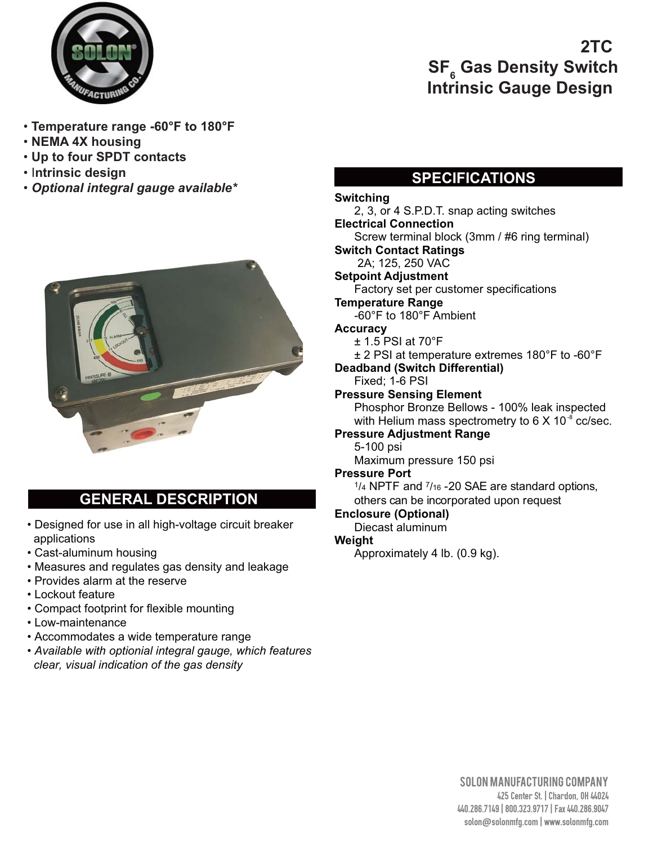

# 2TC **SF<sub>6</sub> Gas Density Switch Intrinsic Gauge Design**

- Temperature range -60°F to 180°F
- NEMA 4X housing
- . Up to four SPDT contacts
- · Intrinsic design
- · Optional integral gauge available\*



# **GENERAL DESCRIPTION**

- Designed for use in all high-voltage circuit breaker applications
- Cast-aluminum housing
- Measures and regulates gas density and leakage
- Provides alarm at the reserve
- Lockout feature
- Compact footprint for flexible mounting
- Low-maintenance
- Accommodates a wide temperature range
- Available with optionial integral gauge, which features clear, visual indication of the gas density

# **SPECIFICATIONS**

**Switching** 2, 3, or 4 S.P.D.T. snap acting switches **Electrical Connection** Screw terminal block (3mm / #6 ring terminal) **Switch Contact Ratings** 2A; 125, 250 VAC **Setpoint Adjustment** Factory set per customer specifications **Temperature Range** -60°F to 180°F Ambient **Accuracy**  $± 1.5$  PSI at  $70^\circ$ F ± 2 PSI at temperature extremes 180°F to -60°F **Deadband (Switch Differential)** Fixed: 1-6 PSI **Pressure Sensing Element** Phosphor Bronze Bellows - 100% leak inspected with Helium mass spectrometry to 6  $\times$  10<sup>-8</sup> cc/sec. **Pressure Adjustment Range** 5-100 psi Maximum pressure 150 psi **Pressure Port** 1/4 NPTF and 7/16 - 20 SAE are standard options, others can be incorporated upon request **Enclosure (Optional)** Diecast aluminum Weight Approximately 4 lb. (0.9 kg).